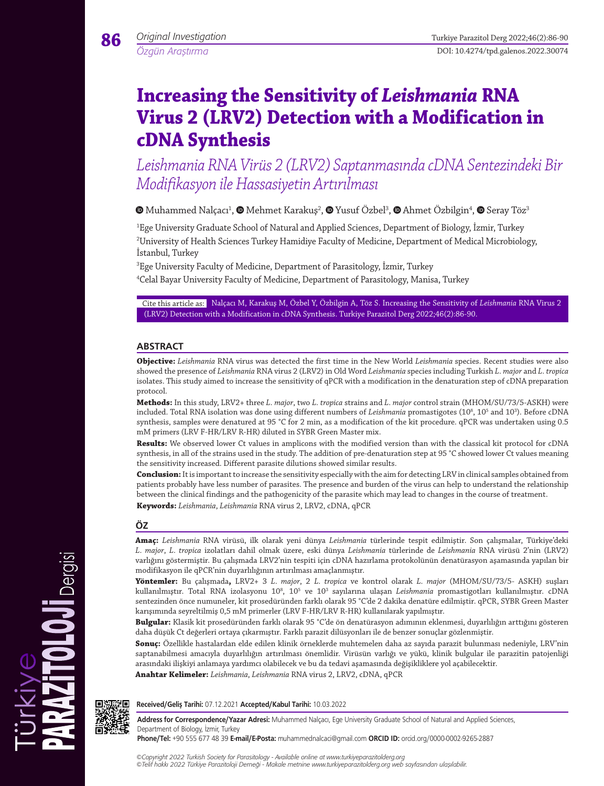*Özgün Araştırma*

**86**

# **Increasing the Sensitivity of** *Leishmania* **RNA Virus 2 (LRV2) Detection with a Modification in cDNA Synthesis**

*Leishmania RNA Virüs 2 (LRV2) Saptanmasında cDNA Sentezindeki Bir Modifikasyon ile Hassasiyetin Artırılması*

MuhammedNalçacı<sup>1</sup>,  $\bullet$  Mehmet Karakuş<sup>2</sup>,  $\bullet$  Yusuf Özbel<sup>3</sup>,  $\bullet$  Ahmet Özbilgin<sup>4</sup>,  $\bullet$  Seray Töz<sup>3</sup>

1 Ege University Graduate School of Natural and Applied Sciences, Department of Biology, İzmir, Turkey 2 University of Health Sciences Turkey Hamidiye Faculty of Medicine, Department of Medical Microbiology, İstanbul, Turkey

 $^3$ Ege University Faculty of Medicine, Department of Parasitology, İzmir, Turkey

4 Celal Bayar University Faculty of Medicine, Department of Parasitology, Manisa, Turkey

Cite this article as: Nalçacı M, Karakuş M, Özbel Y, Özbilgin A, Töz S. Increasing the Sensitivity of *Leishmania* RNA Virus 2 (LRV2) Detection with a Modification in cDNA Synthesis. Turkiye Parazitol Derg 2022;46(2):86-90.

### **ABSTRACT**

**Objective:** *Leishmania* RNA virus was detected the first time in the New World *Leishmania* species. Recent studies were also showed the presence of *Leishmania* RNA virus 2 (LRV2) in Old Word *Leishmania* species including Turkish *L. major* and *L. tropica*  isolates. This study aimed to increase the sensitivity of qPCR with a modification in the denaturation step of cDNA preparation protocol.

**Methods:** In this study, LRV2+ three *L. major*, two *L. tropica* strains and *L. major* control strain (MHOM/SU/73/5-ASKH) were included. Total RNA isolation was done using different numbers of *Leishmania* promastigotes (10<sup>8</sup>, 10<sup>5</sup> and 10<sup>3</sup>). Before cDNA synthesis, samples were denatured at 95 °C for 2 min, as a modification of the kit procedure. qPCR was undertaken using 0.5 mM primers (LRV F-HR/LRV R-HR) diluted in SYBR Green Master mix.

**Results:** We observed lower Ct values in amplicons with the modified version than with the classical kit protocol for cDNA synthesis, in all of the strains used in the study. The addition of pre-denaturation step at 95 °C showed lower Ct values meaning the sensitivity increased. Different parasite dilutions showed similar results.

**Conclusion:** It is important to increase the sensitivity especially with the aim for detecting LRV in clinical samples obtained from patients probably have less number of parasites. The presence and burden of the virus can help to understand the relationship between the clinical findings and the pathogenicity of the parasite which may lead to changes in the course of treatment. **Keywords:** *Leishmania*, *Leishmania* RNA virus 2, LRV2, cDNA, qPCR

### **ÖZ**

**Amaç:** *Leishmania* RNA virüsü, ilk olarak yeni dünya *Leishmania* türlerinde tespit edilmiştir. Son çalışmalar, Türkiye'deki *L. major*, *L. tropica* izolatları dahil olmak üzere, eski dünya *Leishmania* türlerinde de *Leishmania* RNA virüsü 2'nin (LRV2) varlığını göstermiştir. Bu çalışmada LRV2'nin tespiti için cDNA hazırlama protokolünün denatürasyon aşamasında yapılan bir modifikasyon ile qPCR'nin duyarlılığının artırılması amaçlanmıştır.

**Yöntemler:** Bu çalışmada**,** LRV2+ 3 *L. major*, 2 *L. tropica* ve kontrol olarak *L. major* (MHOM/SU/73/5- ASKH) suşları kullanılmıştır. Total RNA izolasyonu 10<sup>8</sup>, 10<sup>5</sup> ve 10<sup>3</sup> sayılarına ulaşan *Leishmania* promastigotları kullanılmıştır. cDNA sentezinden önce numuneler, kit prosedüründen farklı olarak 95 °C'de 2 dakika denatüre edilmiştir. qPCR, SYBR Green Master karışımında seyreltilmiş 0,5 mM primerler (LRV F-HR/LRV R-HR) kullanılarak yapılmıştır.

**Bulgular:** Klasik kit prosedüründen farklı olarak 95 °C'de ön denatürasyon adımının eklenmesi, duyarlılığın arttığını gösteren daha düşük Ct değerleri ortaya çıkarmıştır. Farklı parazit dilüsyonları ile de benzer sonuçlar gözlenmiştir.

**Sonuç:** Özellikle hastalardan elde edilen klinik örneklerde muhtemelen daha az sayıda parazit bulunması nedeniyle, LRV'nin saptanabilmesi amacıyla duyarlılığın artırılması önemlidir. Virüsün varlığı ve yükü, klinik bulgular ile parazitin patojenliği arasındaki ilişkiyi anlamaya yardımcı olabilecek ve bu da tedavi aşamasında değişikliklere yol açabilecektir.

**Anahtar Kelimeler:** *Leishmania*, *Leishmania* RNA virus 2, LRV2, cDNA, qPCR



Dergisi

**Received/Geliş Tarihi:** 07.12.2021 **Accepted/Kabul Tarihi:** 10.03.2022

**Address for Correspondence/Yazar Adresi:** Muhammed Nalçacı, Ege University Graduate School of Natural and Applied Sciences, Department of Biology, İzmir, Turkey

**Phone/Tel:** +90 555 677 48 39 **E-mail/E-Posta:** muhammednalcaci@gmail.com **ORCID ID:** orcid.org/0000-0002-9265-2887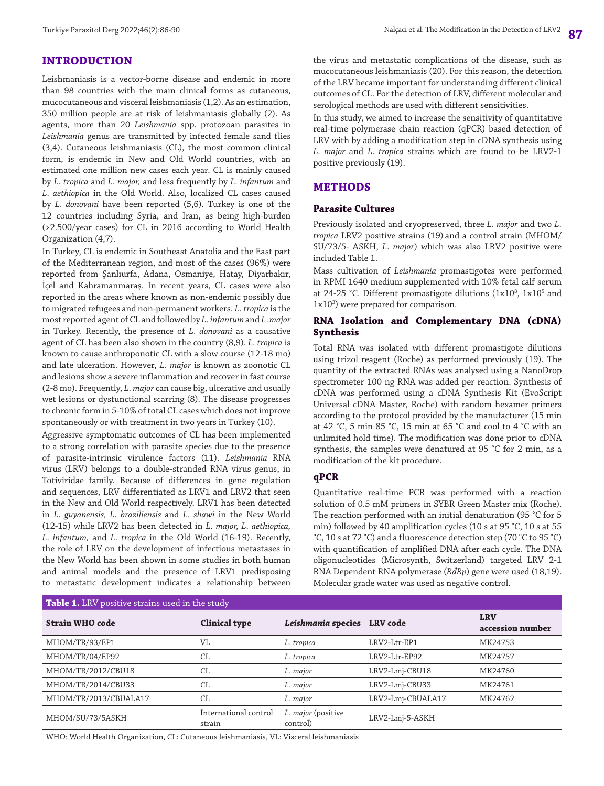### **INTRODUCTION**

Leishmaniasis is a vector-borne disease and endemic in more than 98 countries with the main clinical forms as cutaneous, mucocutaneous and visceral leishmaniasis (1,2). As an estimation, 350 million people are at risk of leishmaniasis globally (2). As agents, more than 20 *Leishmania* spp. protozoan parasites in *Leishmania* genus are transmitted by infected female sand flies (3,4). Cutaneous leishmaniasis (CL), the most common clinical form, is endemic in New and Old World countries, with an estimated one million new cases each year. CL is mainly caused by *L. tropica* and *L. major,* and less frequently by *L. infantum* and *L. aethiopica* in the Old World. Also, localized CL cases caused by *L. donovani* have been reported (5,6). Turkey is one of the 12 countries including Syria, and Iran, as being high-burden (>2.500/year cases) for CL in 2016 according to World Health Organization (4,7).

In Turkey, CL is endemic in Southeast Anatolia and the East part of the Mediterranean region, and most of the cases (96%) were reported from Şanlıurfa, Adana, Osmaniye, Hatay, Diyarbakır, İçel and Kahramanmaraş. In recent years, CL cases were also reported in the areas where known as non-endemic possibly due to migrated refugees and non-permanent workers. *L. tropica* is the most reported agent of CL and followed by *L. infantum* and *L .major* in Turkey. Recently, the presence of *L. donovani* as a causative agent of CL has been also shown in the country (8,9). *L. tropica* is known to cause anthroponotic CL with a slow course (12-18 mo) and late ulceration. However, *L. major* is known as zoonotic CL and lesions show a severe inflammation and recover in fast course (2-8 mo). Frequently, *L. major* can cause big, ulcerative and usually wet lesions or dysfunctional scarring (8). The disease progresses to chronic form in 5-10% of total CL cases which does not improve spontaneously or with treatment in two years in Turkey (10).

Aggressive symptomatic outcomes of CL has been implemented to a strong correlation with parasite species due to the presence of parasite-intrinsic virulence factors (11). *Leishmania* RNA virus (LRV) belongs to a double-stranded RNA virus genus, in Totiviridae family. Because of differences in gene regulation and sequences, LRV differentiated as LRV1 and LRV2 that seen in the New and Old World respectively. LRV1 has been detected in *L. guyanensis, L. braziliensis* and *L. shawi* in the New World (12-15) while LRV2 has been detected in *L. major, L. aethiopica, L. infantum,* and *L. tropica* in the Old World (16-19). Recently, the role of LRV on the development of infectious metastases in the New World has been shown in some studies in both human and animal models and the presence of LRV1 predisposing to metastatic development indicates a relationship between the virus and metastatic complications of the disease, such as mucocutaneous leishmaniasis (20). For this reason, the detection of the LRV became important for understanding different clinical outcomes of CL. For the detection of LRV, different molecular and serological methods are used with different sensitivities.

In this study, we aimed to increase the sensitivity of quantitative real-time polymerase chain reaction (qPCR) based detection of LRV with by adding a modification step in cDNA synthesis using *L. major* and *L. tropica* strains which are found to be LRV2-1 positive previously (19).

### **METHODS**

#### **Parasite Cultures**

Previously isolated and cryopreserved, three *L. major* and two *L. tropica* LRV2 positive strains (19) and a control strain (MHOM/ SU/73/5- ASKH, *L. major*) which was also LRV2 positive were included Table 1.

Mass cultivation of *Leishmania* promastigotes were performed in RPMI 1640 medium supplemented with 10% fetal calf serum at 24-25 °C. Different promastigote dilutions (1x10 $^{\circ}$ , 1x10 $^{\circ}$  and 1x103 ) were prepared for comparison.

#### **RNA Isolation and Complementary DNA (cDNA) Synthesis**

Total RNA was isolated with different promastigote dilutions using trizol reagent (Roche) as performed previously (19). The quantity of the extracted RNAs was analysed using a NanoDrop spectrometer 100 ng RNA was added per reaction. Synthesis of cDNA was performed using a cDNA Synthesis Kit (EvoScript Universal cDNA Master, Roche) with random hexamer primers according to the protocol provided by the manufacturer (15 min at 42 °C, 5 min 85 °C, 15 min at 65 °C and cool to 4 °C with an unlimited hold time). The modification was done prior to cDNA synthesis, the samples were denatured at 95 °C for 2 min, as a modification of the kit procedure.

#### **qPCR**

Quantitative real-time PCR was performed with a reaction solution of 0.5 mM primers in SYBR Green Master mix (Roche). The reaction performed with an initial denaturation (95 °C for 5 min) followed by 40 amplification cycles (10 s at 95 °C, 10 s at 55 °C, 10 s at 72 °C) and a fluorescence detection step (70 °C to 95 °C) with quantification of amplified DNA after each cycle. The DNA oligonucleotides (Microsynth, Switzerland) targeted LRV 2-1 RNA Dependent RNA polymerase (*RdRp*) gene were used (18,19). Molecular grade water was used as negative control.

| Table 1. LRV positive strains used in the study                                         |                                 |                                |                   |                                |
|-----------------------------------------------------------------------------------------|---------------------------------|--------------------------------|-------------------|--------------------------------|
| <b>Strain WHO code</b>                                                                  | <b>Clinical type</b>            | Leishmania species             | <b>LRV</b> code   | <b>LRV</b><br>accession number |
| MHOM/TR/93/EP1                                                                          | VL                              | L. tropica                     | LRV2-Ltr-EP1      | MK24753                        |
| MHOM/TR/04/EP92                                                                         | CL                              | L. tropica                     | LRV2-Ltr-EP92     | MK24757                        |
| MHOM/TR/2012/CBU18                                                                      | СL                              | L. major                       | LRV2-Lmj-CBU18    | MK24760                        |
| MHOM/TR/2014/CBU33                                                                      | CL                              | L. major                       | LRV2-Lmj-CBU33    | MK24761                        |
| MHOM/TR/2013/CBUALA17                                                                   | CL                              | L. major                       | LRV2-Lmj-CBUALA17 | MK24762                        |
| MHOM/SU/73/5ASKH                                                                        | International control<br>strain | L. major (positive<br>control) | LRV2-Lmj-5-ASKH   |                                |
| WHO: World Health Organization, CL: Cutaneous leishmaniasis, VL: Visceral leishmaniasis |                                 |                                |                   |                                |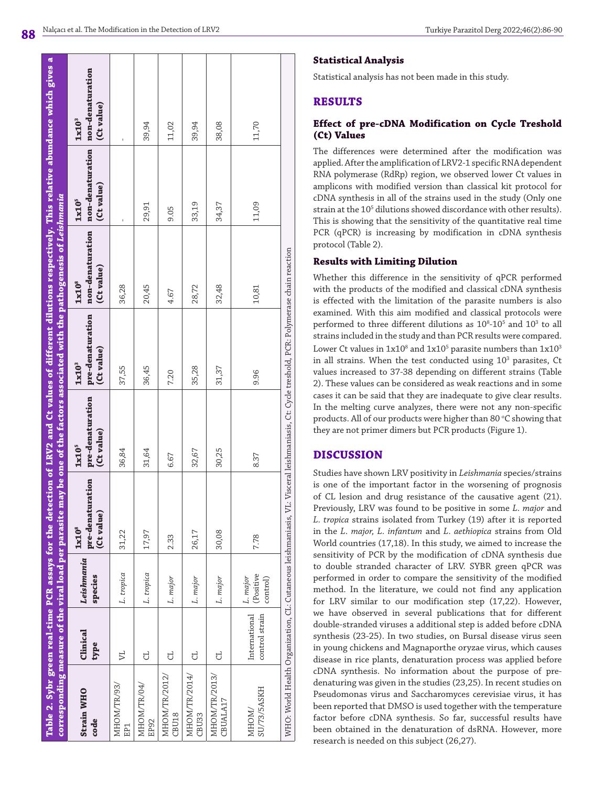# **Statistical Analysis**

Statistical analysis has not been made in this study.

# **RESULTS**

## **Effect of pre-cDNA Modification on Cycle Treshold (Ct) Values**

The differences were determined after the modification was applied. After the amplification of LRV2-1 specific RNA dependent RNA polymerase (RdRp) region, we observed lower Ct values in amplicons with modified version than classical kit protocol for cDNA synthesis in all of the strains used in the study (Only one strain at the 10<sup>5</sup> dilutions showed discordance with other results). This is showing that the sensitivity of the quantitative real time PCR (qPCR) is increasing by modification in cDNA synthesis protocol (Table 2).

# **Results with Limiting Dilution**

Whether this difference in the sensitivity of qPCR performed with the products of the modified and classical cDNA synthesis is effected with the limitation of the parasite numbers is also examined. With this aim modified and classical protocols were performed to three different dilutions as  $10^8$ - $10^5$  and  $10^3$  to all strains included in the study and than PCR results were compared. Lower Ct values in  $1x10^8$  and  $1x10^5$  parasite numbers than  $1x10^3$ in all strains. When the test conducted using  $10^3$  parasites, Ct values increased to 37-38 depending on different strains (Table 2). These values can be considered as weak reactions and in some cases it can be said that they are inadequate to give clear results. In the melting curve analyzes, there were not any non-specific products. All of our products were higher than 80 °C showing that they are not primer dimers but PCR products (Figure 1).

# **DISCUSSION**

Studies have shown LRV positivity in *Leishmania* species/strains is one of the important factor in the worsening of prognosis of CL lesion and drug resistance of the causative agent (21). Previously, LRV was found to be positive in some *L. major* and *L. tropica* strains isolated from Turkey (19) after it is reported in the *L. major, L. infantum* and *L. aethiopica* strains from Old World countries (17,18). In this study, we aimed to increase the sensitivity of PCR by the modification of cDNA synthesis due to double stranded character of LRV. SYBR green qPCR was performed in order to compare the sensitivity of the modified method. In the literature, we could not find any application for LRV similar to our modification step (17,22). However, we have observed in several publications that for different double-stranded viruses a additional step is added before cDNA synthesis (23-25). In two studies, on Bursal disease virus seen in young chickens and Magnaporthe oryzae virus, which causes disease in rice plants, denaturation process was applied before cDNA synthesis. No information about the purpose of predenaturing was given in the studies (23,25). In recent studies on Pseudomonas virus and Saccharomyces cerevisiae virus, it has been reported that DMSO is used together with the temperature factor before cDNA synthesis. So far, successful results have been obtained in the denaturation of dsRNA. However, more research is needed on this subject (26,27).

|                                    |                                 |                                   | corresponding measure of the viral load per parasite may be one of the factors associated with the pathogenesis of Leishmania               |                                                     |                                                     |                                                     |                                                                      | Table 2. Sybr green real-time PCR assays for the detection of LRV2 and Ct values of different dilutions respectively. This relative abundance which gives a |
|------------------------------------|---------------------------------|-----------------------------------|---------------------------------------------------------------------------------------------------------------------------------------------|-----------------------------------------------------|-----------------------------------------------------|-----------------------------------------------------|----------------------------------------------------------------------|-------------------------------------------------------------------------------------------------------------------------------------------------------------|
| <b>Strain WHO</b><br>code          | Clinical<br>type                | Leishmania<br>species             | pre-denaturation<br>(Ct value)<br>1x10 <sup>8</sup>                                                                                         | pre-denaturation<br>(Ct value)<br>1x10 <sup>5</sup> | pre-denaturation<br>(Ct value)<br>1x10 <sup>3</sup> | non-denaturation<br>(Ct value)<br>1x10 <sup>8</sup> | non-denaturation non-denaturation<br>(Ct value)<br>1x10 <sup>5</sup> | (Ct value)<br>1x10 <sup>3</sup>                                                                                                                             |
| MHOM/TR/93/<br>EP <sub>1</sub>     | $\mathbb{Z}$                    | L. tropica                        | 31,22                                                                                                                                       | 36,84                                               | 37,55                                               | 36,28                                               |                                                                      |                                                                                                                                                             |
| MHOM/TR/04/<br>EP <sub>92</sub>    | J                               | L. tropica                        | 17,97                                                                                                                                       | 31,64                                               | 36,45                                               | 20,45                                               | 29,91                                                                | 39,94                                                                                                                                                       |
| MHOM/TR/2012/<br><b>CBU18</b>      | J                               | L. major                          | 2.33                                                                                                                                        | 6.67                                                | 7.20                                                | 4.67                                                | 9.05                                                                 | 11,02                                                                                                                                                       |
| MHOM/TR/2014/<br>CBU <sub>33</sub> | J                               | L. major                          | 26,17                                                                                                                                       | 32,67                                               | 35,28                                               | 28,72                                               | 33,19                                                                | 39,94                                                                                                                                                       |
| MHOM/TR/2013,<br>CBUALA17          | J                               | L. major                          | 30,08                                                                                                                                       | 30,25                                               | 31,37                                               | 32,48                                               | 34,37                                                                | 38,08                                                                                                                                                       |
| SU/73/5ASKH<br>MHOM/               | International<br>control strain | (Positive<br>L. major<br>control) | 7.78                                                                                                                                        | 8.37                                                | 9.96                                                | 10,81                                               | 11,09                                                                | 11,70                                                                                                                                                       |
|                                    |                                 |                                   | WHO: World Health Organization, CL: Cutaneous leishmaniasis, VL: Visceral leishmaniasis, Ct: Cycle treshold, PCR: Polymerase chain reaction |                                                     |                                                     |                                                     |                                                                      |                                                                                                                                                             |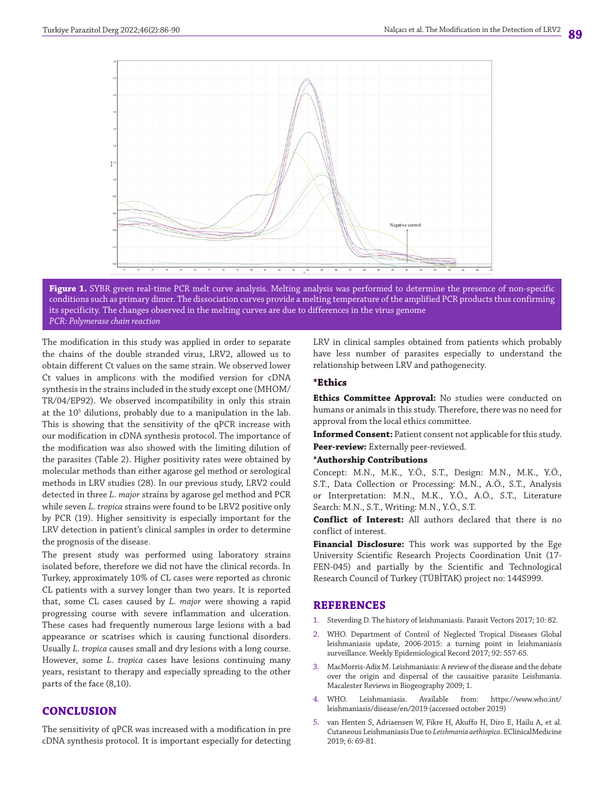



The modification in this study was applied in order to separate the chains of the double stranded virus, LRV2, allowed us to obtain different Ct values on the same strain. We observed lower Ct values in amplicons with the modified version for cDNA synthesis in the strains included in the study except one (MHOM/ TR/04/EP92). We observed incompatibility in only this strain at the 105 dilutions, probably due to a manipulation in the lab. This is showing that the sensitivity of the qPCR increase with our modification in cDNA synthesis protocol. The importance of the modification was also showed with the limiting dilution of the parasites (Table 2). Higher positivity rates were obtained by molecular methods than either agarose gel method or serological methods in LRV studies (28). In our previous study, LRV2 could detected in three *L. major* strains by agarose gel method and PCR while seven *L. tropica* strains were found to be LRV2 positive only by PCR (19). Higher sensitivity is especially important for the LRV detection in patient's clinical samples in order to determine the prognosis of the disease.

The present study was performed using laboratory strains isolated before, therefore we did not have the clinical records. In Turkey, approximately 10% of CL cases were reported as chronic CL patients with a survey longer than two years. It is reported that, some CL cases caused by *L. major* were showing a rapid progressing course with severe inflammation and ulceration. These cases had frequently numerous large lesions with a bad appearance or scatrises which is causing functional disorders. Usually *L. tropica* causes small and dry lesions with a long course. However, some *L. tropica* cases have lesions continuing many years, resistant to therapy and especially spreading to the other parts of the face (8,10).

### **CONCLUSION**

The sensitivity of qPCR was increased with a modification in pre cDNA synthesis protocol. It is important especially for detecting LRV in clinical samples obtained from patients which probably have less number of parasites especially to understand the relationship between LRV and pathogenecity.

#### **\*Ethics**

**Ethics Committee Approval:** No studies were conducted on humans or animals in this study. Therefore, there was no need for approval from the local ethics committee.

**Informed Consent:** Patient consent not applicable for this study. **Peer-review:** Externally peer-reviewed.

**\*Authorship Contributions**

Concept: M.N., M.K., Y.Ö., S.T., Design: M.N., M.K., Y.Ö., S.T., Data Collection or Processing: M.N., A.Ö., S.T., Analysis or Interpretation: M.N., M.K., Y.Ö., A.Ö., S.T., Literature Search: M.N., S.T., Writing: M.N., Y.Ö., S.T.

**Conflict of Interest:** All authors declared that there is no conflict of interest.

**Financial Disclosure:** This work was supported by the Ege University Scientific Research Projects Coordination Unit (17- FEN-045) and partially by the Scientific and Technological Research Council of Turkey (TÜBİTAK) project no: 144S999.

#### **REFERENCES**

- 1. Steverding D. The history of leishmaniasis. Parasit Vectors 2017; 10: 82.
- 2. WHO. Department of Control of Neglected Tropical Diseases Global leishmaniasis update, 2006-2015: a turning point in leishmaniasis surveillance. Weekly Epidemiological Record 2017; 92: 557-65.
- 3. MacMorris-Adix M. Leishmaniasis: A review of the disease and the debate over the origin and dispersal of the causaitive parasite Leishmania. Macalester Reviews in Biogeography 2009; 1.
- WHO. Leishmaniasis. Available from: https://www.who.int/ leishmaniasis/disease/en/2019 (accessed october 2019)
- 5. van Henten S, Adriaensen W, Fikre H, Akuffo H, Diro E, Hailu A, et al. Cutaneous Leishmaniasis Due to *Leishmania aethiopica*. EClinicalMedicine 2019; 6: 69-81.